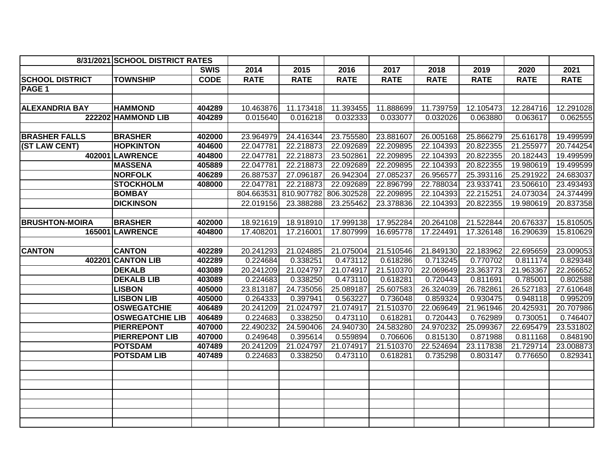|                        | 8/31/2021 SCHOOL DISTRICT RATES |             |                       |             |             |             |             |             |             |             |
|------------------------|---------------------------------|-------------|-----------------------|-------------|-------------|-------------|-------------|-------------|-------------|-------------|
|                        |                                 | <b>SWIS</b> | 2014                  | 2015        | 2016        | 2017        | 2018        | 2019        | 2020        | 2021        |
| <b>SCHOOL DISTRICT</b> | <b>TOWNSHIP</b>                 | <b>CODE</b> | <b>RATE</b>           | <b>RATE</b> | <b>RATE</b> | <b>RATE</b> | <b>RATE</b> | <b>RATE</b> | <b>RATE</b> | <b>RATE</b> |
| PAGE 1                 |                                 |             |                       |             |             |             |             |             |             |             |
|                        |                                 |             |                       |             |             |             |             |             |             |             |
| <b>ALEXANDRIA BAY</b>  | <b>HAMMOND</b>                  | 404289      | 10.463876             | 11.173418   | 11.393455   | 11.888699   | 11.739759   | 12.105473   | 12.284716   | 12.291028   |
|                        | 222202 HAMMOND LIB              | 404289      | 0.015640              | 0.016218    | 0.032333    | 0.033077    | 0.032026    | 0.063880    | 0.063617    | 0.062555    |
|                        |                                 |             |                       |             |             |             |             |             |             |             |
| <b>BRASHER FALLS</b>   | <b>BRASHER</b>                  | 402000      | 23.964979             | 24.416344   | 23.755580   | 23.881607   | 26.005168   | 25.866279   | 25.616178   | 19.499599   |
| (ST LAW CENT)          | <b>HOPKINTON</b>                | 404600      | 22.047781             | 22.218873   | 22.092689   | 22.209895   | 22.104393   | 20.822355   | 21.255977   | 20.744254   |
|                        | <b>402001 LAWRENCE</b>          | 404800      | 22.047781             | 22.218873   | 23.502861   | 22.209895   | 22.104393   | 20.822355   | 20.182443   | 19.499599   |
|                        | <b>MASSENA</b>                  | 405889      | 22.047781             | 22.218873   | 22.092689   | 22.209895   | 22.104393   | 20.822355   | 19.980619   | 19.499599   |
|                        | <b>NORFOLK</b>                  | 406289      | 26.887537             | 27.096187   | 26.942304   | 27.085237   | 26.956577   | 25.393116   | 25.291922   | 24.683037   |
|                        | <b>STOCKHOLM</b>                | 408000      | 22.047781             | 22.218873   | 22.092689   | 22.896799   | 22.788034   | 23.933741   | 23.506610   | 23.493493   |
|                        | <b>BOMBAY</b>                   |             | 804.663531 810.907782 |             | 806.302528  | 22.209895   | 22.104393   | 22.215251   | 24.073034   | 24.374499   |
|                        | <b>DICKINSON</b>                |             | 22.019156             | 23.388288   | 23.255462   | 23.378836   | 22.104393   | 20.822355   | 19.980619   | 20.837358   |
|                        |                                 |             |                       |             |             |             |             |             |             |             |
| <b>BRUSHTON-MOIRA</b>  | <b>BRASHER</b>                  | 402000      | 18.921619             | 18.918910   | 17.999138   | 17.952284   | 20.264108   | 21.522844   | 20.676337   | 15.810505   |
|                        | 165001 LAWRENCE                 | 404800      | 17.408201             | 17.216001   | 17.807999   | 16.695778   | 17.224491   | 17.326148   | 16.290639   | 15.810629   |
|                        |                                 |             |                       |             |             |             |             |             |             |             |
| <b>CANTON</b>          | <b>CANTON</b>                   | 402289      | 20.241293             | 21.024885   | 21.075004   | 21.510546   | 21.849130   | 22.183962   | 22.695659   | 23.009053   |
|                        | 402201 CANTON LIB               | 402289      | 0.224684              | 0.338251    | 0.473112    | 0.618286    | 0.713245    | 0.770702    | 0.811174    | 0.829348    |
|                        | <b>DEKALB</b>                   | 403089      | 20.241209             | 21.024797   | 21.074917   | 21.510370   | 22.069649   | 23.363773   | 21.963367   | 22.266652   |
|                        | <b>DEKALB LIB</b>               | 403089      | 0.224683              | 0.338250    | 0.473110    | 0.618281    | 0.720443    | 0.811691    | 0.785001    | 0.802588    |
|                        | <b>LISBON</b>                   | 405000      | 23.813187             | 24.735056   | 25.089187   | 25.607583   | 26.324039   | 26.782861   | 26.527183   | 27.610648   |
|                        | <b>LISBON LIB</b>               | 405000      | 0.264333              | 0.397941    | 0.563227    | 0.736048    | 0.859324    | 0.930475    | 0.948118    | 0.995209    |
|                        | <b>OSWEGATCHIE</b>              | 406489      | 20.241209             | 21.024797   | 21.074917   | 21.510370   | 22.069649   | 21.961946   | 20.425931   | 20.707986   |
|                        | <b>OSWEGATCHIE LIB</b>          | 406489      | 0.224683              | 0.338250    | 0.473110    | 0.618281    | 0.720443    | 0.762989    | 0.730051    | 0.746407    |
|                        | <b>PIERREPONT</b>               | 407000      | 22.490232             | 24.590406   | 24.940730   | 24.583280   | 24.970232   | 25.099367   | 22.695479   | 23.531802   |
|                        | <b>PIERREPONT LIB</b>           | 407000      | 0.249648              | 0.395614    | 0.559894    | 0.706606    | 0.815130    | 0.871988    | 0.811168    | 0.848190    |
|                        | <b>POTSDAM</b>                  | 407489      | 20.241209             | 21.024797   | 21.074917   | 21.510370   | 22.524694   | 23.117838   | 21.729714   | 23.008873   |
|                        | <b>POTSDAM LIB</b>              | 407489      | 0.224683              | 0.338250    | 0.473110    | 0.618281    | 0.735298    | 0.803147    | 0.776650    | 0.829341    |
|                        |                                 |             |                       |             |             |             |             |             |             |             |
|                        |                                 |             |                       |             |             |             |             |             |             |             |
|                        |                                 |             |                       |             |             |             |             |             |             |             |
|                        |                                 |             |                       |             |             |             |             |             |             |             |
|                        |                                 |             |                       |             |             |             |             |             |             |             |
|                        |                                 |             |                       |             |             |             |             |             |             |             |
|                        |                                 |             |                       |             |             |             |             |             |             |             |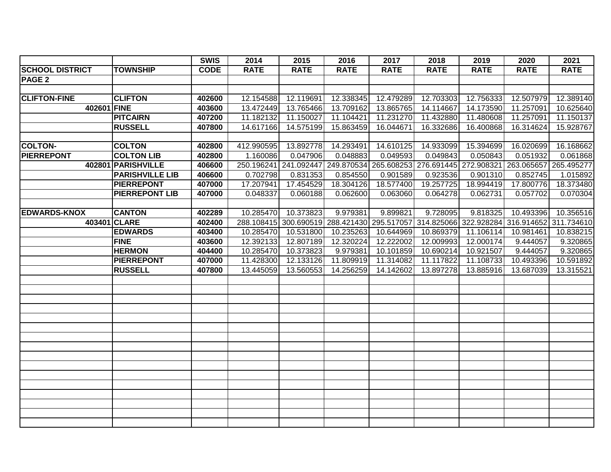|                        |                        | <b>SWIS</b> | 2014        | 2015                  | 2016        | 2017                                                                                    | 2018        | 2019        | 2020        | 2021        |
|------------------------|------------------------|-------------|-------------|-----------------------|-------------|-----------------------------------------------------------------------------------------|-------------|-------------|-------------|-------------|
| <b>SCHOOL DISTRICT</b> | <b>TOWNSHIP</b>        | <b>CODE</b> | <b>RATE</b> | <b>RATE</b>           | <b>RATE</b> | <b>RATE</b>                                                                             | <b>RATE</b> | <b>RATE</b> | <b>RATE</b> | <b>RATE</b> |
| PAGE <sub>2</sub>      |                        |             |             |                       |             |                                                                                         |             |             |             |             |
|                        |                        |             |             |                       |             |                                                                                         |             |             |             |             |
| <b>CLIFTON-FINE</b>    | <b>CLIFTON</b>         | 402600      | 12.154588   | 12.119691             | 12.338345   | 12.479289                                                                               | 12.703303   | 12.756333   | 12.507979   | 12.389140   |
|                        | 402601 FINE            | 403600      | 13.472449   | 13.765466             | 13.709162   | 13.865765                                                                               | 14.114667   | 14.173590   | 11.257091   | 10.625640   |
|                        | <b>PITCAIRN</b>        | 407200      | 11.182132   | 11.150027             | 11.104421   | 11.231270                                                                               | 11.432880   | 11.480608   | 11.257091   | 11.150137   |
|                        | <b>RUSSELL</b>         | 407800      | 14.617166   | 14.575199             | 15.863459   | 16.044671                                                                               | 16.332686   | 16.400868   | 16.314624   | 15.928767   |
|                        |                        |             |             |                       |             |                                                                                         |             |             |             |             |
| <b>COLTON-</b>         | <b>COLTON</b>          | 402800      | 412.990595  | 13.892778             | 14.293491   | 14.610125                                                                               | 14.933099   | 15.394699   | 16.020699   | 16.168662   |
| <b>PIERREPONT</b>      | <b>COLTON LIB</b>      | 402800      | 1.160086    | 0.047906              | 0.048883    | 0.049593                                                                                | 0.049843    | 0.050843    | 0.051932    | 0.061868    |
|                        | 402801 PARISHVILLE     | 406600      |             | 250.196241 241.092447 |             | 249.870534 265.608253 276.691445 272.908321 263.065657 265.495277                       |             |             |             |             |
|                        | <b>PARISHVILLE LIB</b> | 406600      | 0.702798    | 0.831353              | 0.854550    | 0.901589                                                                                | 0.923536    | 0.901310    | 0.852745    | 1.015892    |
|                        | <b>PIERREPONT</b>      | 407000      | 17.207941   | 17.454529             | 18.304126   | 18.577400                                                                               | 19.257725   | 18.994419   | 17.800776   | 18.373480   |
|                        | <b>PIERREPONT LIB</b>  | 407000      | 0.048337    | 0.060188              | 0.062600    | 0.063060                                                                                | 0.064278    | 0.062731    | 0.057702    | 0.070304    |
|                        |                        |             |             |                       |             |                                                                                         |             |             |             |             |
| <b>EDWARDS-KNOX</b>    | <b>CANTON</b>          | 402289      | 10.285470   | 10.373823             | 9.979381    | 9.899821                                                                                | 9.728095    | 9.818325    | 10.493396   | 10.356516   |
|                        | 403401 CLARE           | 402400      |             |                       |             | 288.108415 300.690519 288.421430 295.517057 314.825066 322.928284 316.914652 311.734610 |             |             |             |             |
|                        | <b>EDWARDS</b>         | 403400      | 10.285470   | 10.531800             | 10.235263   | 10.644969                                                                               | 10.869379   | 11.106114   | 10.981461   | 10.838215   |
|                        | <b>FINE</b>            | 403600      | 12.392133   | 12.807189             | 12.320224   | 12.222002                                                                               | 12.009993   | 12.000174   | 9.444057    | 9.320865    |
|                        | <b>HERMON</b>          | 404400      | 10.285470   | 10.373823             | 9.979381    | 10.101859                                                                               | 10.690214   | 10.921507   | 9.444057    | 9.320865    |
|                        | <b>PIERREPONT</b>      | 407000      | 11.428300   | 12.133126             | 11.809919   | 11.314082                                                                               | 11.117822   | 11.108733   | 10.493396   | 10.591892   |
|                        | <b>RUSSELL</b>         | 407800      | 13.445059   | 13.560553             | 14.256259   | 14.142602                                                                               | 13.897278   | 13.885916   | 13.687039   | 13.315521   |
|                        |                        |             |             |                       |             |                                                                                         |             |             |             |             |
|                        |                        |             |             |                       |             |                                                                                         |             |             |             |             |
|                        |                        |             |             |                       |             |                                                                                         |             |             |             |             |
|                        |                        |             |             |                       |             |                                                                                         |             |             |             |             |
|                        |                        |             |             |                       |             |                                                                                         |             |             |             |             |
|                        |                        |             |             |                       |             |                                                                                         |             |             |             |             |
|                        |                        |             |             |                       |             |                                                                                         |             |             |             |             |
|                        |                        |             |             |                       |             |                                                                                         |             |             |             |             |
|                        |                        |             |             |                       |             |                                                                                         |             |             |             |             |
|                        |                        |             |             |                       |             |                                                                                         |             |             |             |             |
|                        |                        |             |             |                       |             |                                                                                         |             |             |             |             |
|                        |                        |             |             |                       |             |                                                                                         |             |             |             |             |
|                        |                        |             |             |                       |             |                                                                                         |             |             |             |             |
|                        |                        |             |             |                       |             |                                                                                         |             |             |             |             |
|                        |                        |             |             |                       |             |                                                                                         |             |             |             |             |
|                        |                        |             |             |                       |             |                                                                                         |             |             |             |             |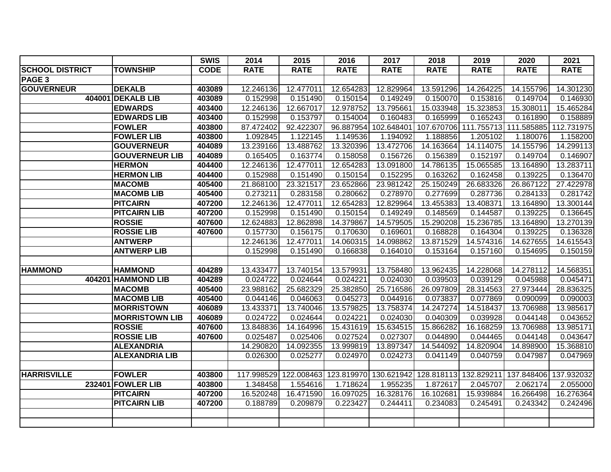|                        |                          | <b>SWIS</b> | 2014        | 2015        | 2016                  | 2017        | 2018        | 2019                                        | 2020        | 2021        |
|------------------------|--------------------------|-------------|-------------|-------------|-----------------------|-------------|-------------|---------------------------------------------|-------------|-------------|
| <b>SCHOOL DISTRICT</b> | <b>TOWNSHIP</b>          | <b>CODE</b> | <b>RATE</b> | <b>RATE</b> | <b>RATE</b>           | <b>RATE</b> | <b>RATE</b> | <b>RATE</b>                                 | <b>RATE</b> | <b>RATE</b> |
| PAGE <sub>3</sub>      |                          |             |             |             |                       |             |             |                                             |             |             |
| <b>GOUVERNEUR</b>      | <b>DEKALB</b>            | 403089      | 12.246136   | 12.477011   | 12.654283             | 12.829964   | 13.591296   | 14.264225                                   | 14.155796   | 14.301230   |
|                        | 404001 DEKALB LIB        | 403089      | 0.152998    | 0.151490    | 0.150154              | 0.149249    | 0.150070    | 0.153816                                    | 0.149704    | 0.146930    |
|                        | <b>EDWARDS</b>           | 403400      | 12.246136   | 12.667017   | 12.978752             | 13.795661   | 15.033948   | 15.323853                                   | 15.308011   | 15.465284   |
|                        | <b>EDWARDS LIB</b>       | 403400      | 0.152998    | 0.153797    | 0.154004              | 0.160483    | 0.165999    | 0.165243                                    | 0.161890    | 0.158889    |
|                        | <b>FOWLER</b>            | 403800      | 87.472402   | 92.422307   | 96.887954             |             |             | 102.648401 107.670706 111.755713 111.585885 |             | 112.731975  |
|                        | <b>FOWLER LIB</b>        | 403800      | 1.092845    | 1.122145    | 1.149536              | 1.194092    | 1.188856    | 1.205102                                    | 1.180076    | 1.158200    |
|                        | <b>GOUVERNEUR</b>        | 404089      | 13.239166   | 13.488762   | 13.320396             | 13.472706   | 14.163664   | 14.114075                                   | 14.155796   | 14.299113   |
|                        | <b>GOUVERNEUR LIB</b>    | 404089      | 0.165405    | 0.163774    | 0.158058              | 0.156726    | 0.156389    | 0.152197                                    | 0.149704    | 0.146907    |
|                        | <b>HERMON</b>            | 404400      | 12.246136   | 12.477011   | 12.654283             | 13.091800   | 14.786135   | 15.065585                                   | 13.164890   | 13.283711   |
|                        | <b>HERMON LIB</b>        | 404400      | 0.152988    | 0.151490    | 0.150154              | 0.152295    | 0.163262    | 0.162458                                    | 0.139225    | 0.136470    |
|                        | <b>MACOMB</b>            | 405400      | 21.868100   | 23.321517   | 23.652866             | 23.981242   | 25.150249   | 26.683326                                   | 26.867122   | 27.422978   |
|                        | <b>MACOMB LIB</b>        | 405400      | 0.273211    | 0.283158    | 0.280662              | 0.278970    | 0.277699    | 0.287736                                    | 0.284133    | 0.281742    |
|                        | <b>PITCAIRN</b>          | 407200      | 12.246136   | 12.477011   | 12.654283             | 12.829964   | 13.455383   | 13.408371                                   | 13.164890   | 13.300144   |
|                        | <b>PITCAIRN LIB</b>      | 407200      | 0.152998    | 0.151490    | 0.150154              | 0.149249    | 0.148569    | 0.144587                                    | 0.139225    | 0.136645    |
|                        | <b>ROSSIE</b>            | 407600      | 12.624883   | 12.862898   | 14.379867             | 14.579505   | 15.290208   | 15.236785                                   | 13.164890   | 13.270139   |
|                        | <b>ROSSIE LIB</b>        | 407600      | 0.157730    | 0.156175    | 0.170630              | 0.169601    | 0.168828    | 0.164304                                    | 0.139225    | 0.136328    |
|                        | <b>ANTWERP</b>           |             | 12.246136   | 12.477011   | 14.060315             | 14.098862   | 13.871529   | 14.574316                                   | 14.627655   | 14.615543   |
|                        | <b>ANTWERP LIB</b>       |             | 0.152998    | 0.151490    | 0.166838              | 0.164010    | 0.153164    | 0.157160                                    | 0.154695    | 0.150159    |
|                        |                          |             |             |             |                       |             |             |                                             |             |             |
| <b>HAMMOND</b>         | <b>HAMMOND</b>           | 404289      | 13.433477   | 13.740154   | 13.579931             | 13.758480   | 13.962435   | 14.228068                                   | 14.278112   | 14.568351   |
|                        | 404201 HAMMOND LIB       | 404289      | 0.024722    | 0.024644    | 0.024221              | 0.024030    | 0.039503    | 0.039129                                    | 0.045988    | 0.045471    |
|                        | <b>MACOMB</b>            | 405400      | 23.988162   | 25.682329   | 25.382850             | 25.716586   | 26.097809   | 28.314563                                   | 27.973444   | 28.836325   |
|                        | <b>MACOMB LIB</b>        | 405400      | 0.044146    | 0.046063    | 0.045273              | 0.044916    | 0.073837    | 0.077869                                    | 0.090099    | 0.090003    |
|                        | <b>MORRISTOWN</b>        | 406089      | 13.433371   | 13.740046   | 13.579825             | 13.758374   | 14.247274   | 14.518437                                   | 13.706988   | 13.985617   |
|                        | <b>MORRISTOWN LIB</b>    | 406089      | 0.024722    | 0.024644    | 0.024221              | 0.024030    | 0.040309    | 0.039928                                    | 0.044148    | 0.043652    |
|                        | <b>ROSSIE</b>            | 407600      | 13.848836   | 14.164996   | 15.431619             | 15.634515   | 15.866282   | 16.168259                                   | 13.706988   | 13.985171   |
|                        | <b>ROSSIE LIB</b>        | 407600      | 0.025487    | 0.025406    | 0.027524              | 0.027307    | 0.044890    | 0.044465                                    | 0.044148    | 0.043647    |
|                        | <b>ALEXANDRIA</b>        |             | 14.290820   | 14.092355   | 13.999819             | 13.897347   | 14.544092   | 14.820904                                   | 14.898900   | 15.368810   |
|                        | <b>ALEXANDRIA LIB</b>    |             | 0.026300    | 0.025277    | 0.024970              | 0.024273    | 0.041149    | 0.040759                                    | 0.047987    | 0.047969    |
|                        |                          |             |             |             |                       |             |             |                                             |             |             |
| <b>HARRISVILLE</b>     | <b>FOWLER</b>            | 403800      | 117.998529  |             | 122.008463 123.819970 |             |             | 130.621942 128.818113 132.829211 137.848406 |             | 137.932032  |
|                        | <b>232401 FOWLER LIB</b> | 403800      | 1.348458    | 1.554616    | 1.718624              | 1.955235    | 1.872617    | 2.045707                                    | 2.062174    | 2.055000    |
|                        | <b>PITCAIRN</b>          | 407200      | 16.520248   | 16.471590   | 16.097025             | 16.328176   | 16.102681   | 15.939884                                   | 16.266498   | 16.276364   |
|                        | <b>PITCAIRN LIB</b>      | 407200      | 0.188789    | 0.209879    | 0.223427              | 0.244411    | 0.234083    | 0.245491                                    | 0.243342    | 0.242496    |
|                        |                          |             |             |             |                       |             |             |                                             |             |             |
|                        |                          |             |             |             |                       |             |             |                                             |             |             |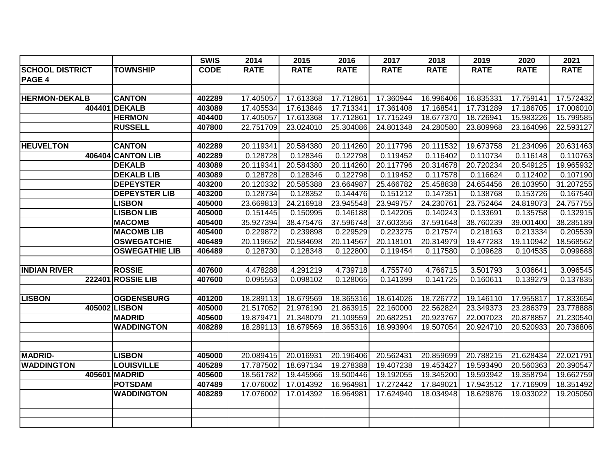|                        |                          | <b>SWIS</b> | 2014        | 2015        | 2016        | 2017        | 2018        | 2019        | 2020        | 2021        |
|------------------------|--------------------------|-------------|-------------|-------------|-------------|-------------|-------------|-------------|-------------|-------------|
| <b>SCHOOL DISTRICT</b> | <b>TOWNSHIP</b>          | <b>CODE</b> | <b>RATE</b> | <b>RATE</b> | <b>RATE</b> | <b>RATE</b> | <b>RATE</b> | <b>RATE</b> | <b>RATE</b> | <b>RATE</b> |
| PAGE 4                 |                          |             |             |             |             |             |             |             |             |             |
|                        |                          |             |             |             |             |             |             |             |             |             |
| <b>HERMON-DEKALB</b>   | <b>CANTON</b>            | 402289      | 17.405057   | 17.613368   | 17.712861   | 17.360944   | 16.996406   | 16.835331   | 17.759141   | 17.572432   |
|                        | 404401 DEKALB            | 403089      | 17.405534   | 17.613846   | 17.713341   | 17.361408   | 17.168541   | 17.731289   | 17.186705   | 17.006010   |
|                        | <b>HERMON</b>            | 404400      | 17.405057   | 17.613368   | 17.712861   | 17.715249   | 18.677370   | 18.726941   | 15.983226   | 15.799585   |
|                        | <b>RUSSELL</b>           | 407800      | 22.751709   | 23.024010   | 25.304086   | 24.801348   | 24.280580   | 23.809968   | 23.164096   | 22.593127   |
|                        |                          |             |             |             |             |             |             |             |             |             |
| <b>HEUVELTON</b>       | <b>CANTON</b>            | 402289      | 20.119341   | 20.584380   | 20.114260   | 20.117796   | 20.111532   | 19.673758   | 21.234096   | 20.631463   |
|                        | 406404 CANTON LIB        | 402289      | 0.128728    | 0.128346    | 0.122798    | 0.119452    | 0.116402    | 0.110734    | 0.116148    | 0.110763    |
|                        | <b>DEKALB</b>            | 403089      | 20.119341   | 20.584380   | 20.114260   | 20.117796   | 20.314678   | 20.720234   | 20.549125   | 19.965932   |
|                        | <b>DEKALB LIB</b>        | 403089      | 0.128728    | 0.128346    | 0.122798    | 0.119452    | 0.117578    | 0.116624    | 0.112402    | 0.107190    |
|                        | <b>DEPEYSTER</b>         | 403200      | 20.120332   | 20.585388   | 23.664987   | 25.466782   | 25.458838   | 24.654456   | 28.103950   | 31.207255   |
|                        | <b>DEPEYSTER LIB</b>     | 403200      | 0.128734    | 0.128352    | 0.144476    | 0.151212    | 0.147351    | 0.138768    | 0.153726    | 0.167540    |
|                        | <b>LISBON</b>            | 405000      | 23.669813   | 24.216918   | 23.945548   | 23.949757   | 24.230761   | 23.752464   | 24.819073   | 24.757755   |
|                        | <b>LISBON LIB</b>        | 405000      | 0.151445    | 0.150995    | 0.146188    | 0.142205    | 0.140243    | 0.133691    | 0.135758    | 0.132915    |
|                        | <b>MACOMB</b>            | 405400      | 35.927394   | 38.475476   | 37.596748   | 37.603356   | 37.591648   | 38.760239   | 39.001400   | 38.285189   |
|                        | <b>MACOMB LIB</b>        | 405400      | 0.229872    | 0.239898    | 0.229529    | 0.223275    | 0.217574    | 0.218163    | 0.213334    | 0.205539    |
|                        | <b>OSWEGATCHIE</b>       | 406489      | 20.119652   | 20.584698   | 20.114567   | 20.118101   | 20.314979   | 19.477283   | 19.110942   | 18.568562   |
|                        | <b>OSWEGATHIE LIB</b>    | 406489      | 0.128730    | 0.128348    | 0.122800    | 0.119454    | 0.117580    | 0.109628    | 0.104535    | 0.099688    |
|                        |                          |             |             |             |             |             |             |             |             |             |
| <b>INDIAN RIVER</b>    | <b>ROSSIE</b>            | 407600      | 4.478288    | 4.291219    | 4.739718    | 4.755740    | 4.766715    | 3.501793    | 3.036641    | 3.096545    |
|                        | <b>222401 ROSSIE LIB</b> | 407600      | 0.095553    | 0.098102    | 0.128065    | 0.141399    | 0.141725    | 0.160611    | 0.139279    | 0.137835    |
|                        |                          |             |             |             |             |             |             |             |             |             |
| <b>LISBON</b>          | <b>OGDENSBURG</b>        | 401200      | 18.289113   | 18.679569   | 18.365316   | 18.614026   | 18.726772   | 19.146110   | 17.955817   | 17.833654   |
|                        | 405002 LISBON            | 405000      | 21.517052   | 21.976190   | 21.863915   | 22.160000   | 22.562824   | 23.349373   | 23.286379   | 23.778888   |
|                        | <b>MADRID</b>            | 405600      | 19.879471   | 21.348079   | 21.109559   | 20.682251   | 20.923767   | 22.007023   | 20.878857   | 21.230540   |
|                        | <b>WADDINGTON</b>        | 408289      | 18.289113   | 18.679569   | 18.365316   | 18.993904   | 19.507054   | 20.924710   | 20.520933   | 20.736806   |
|                        |                          |             |             |             |             |             |             |             |             |             |
|                        |                          |             |             |             |             |             |             |             |             |             |
| <b>MADRID-</b>         | <b>LISBON</b>            | 405000      | 20.089415   | 20.016931   | 20.196406   | 20.562431   | 20.859699   | 20.788215   | 21.628434   | 22.021791   |
| <b>WADDINGTON</b>      | <b>LOUISVILLE</b>        | 405289      | 17.787502   | 18.697134   | 19.278388   | 19.407238   | 19.453427   | 19.593490   | 20.560363   | 20.390547   |
|                        | 405601 MADRID            | 405600      | 18.561782   | 19.445966   | 19.500446   | 19.192055   | 19.345200   | 19.593942   | 19.358794   | 19.662759   |
|                        | <b>POTSDAM</b>           | 407489      | 17.076002   | 17.014392   | 16.964981   | 17.272442   | 17.849021   | 17.943512   | 17.716909   | 18.351492   |
|                        | <b>WADDINGTON</b>        | 408289      | 17.076002   | 17.014392   | 16.964981   | 17.624940   | 18.034948   | 18.629876   | 19.033022   | 19.205050   |
|                        |                          |             |             |             |             |             |             |             |             |             |
|                        |                          |             |             |             |             |             |             |             |             |             |
|                        |                          |             |             |             |             |             |             |             |             |             |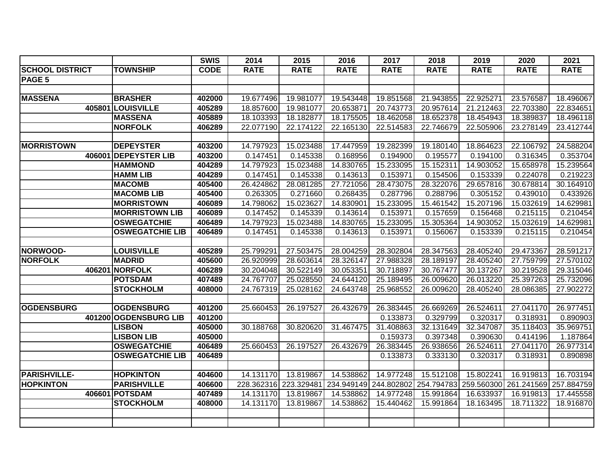|                        |                        | <b>SWIS</b> | 2014        | 2015                  | 2016        | 2017                  | 2018        | 2019        | 2020                             | 2021        |
|------------------------|------------------------|-------------|-------------|-----------------------|-------------|-----------------------|-------------|-------------|----------------------------------|-------------|
| <b>SCHOOL DISTRICT</b> | <b>TOWNSHIP</b>        | <b>CODE</b> | <b>RATE</b> | <b>RATE</b>           | <b>RATE</b> | <b>RATE</b>           | <b>RATE</b> | <b>RATE</b> | <b>RATE</b>                      | <b>RATE</b> |
| PAGE 5                 |                        |             |             |                       |             |                       |             |             |                                  |             |
|                        |                        |             |             |                       |             |                       |             |             |                                  |             |
| <b>MASSENA</b>         | <b>BRASHER</b>         | 402000      | 19.677496   | 19.981077             | 19.543448   | 19.851568             | 21.943855   | 22.925271   | 23.576587                        | 18.496067   |
|                        | 405801 LOUISVILLE      | 405289      | 18.857600   | 19.981077             | 20.653871   | 20.743773             | 20.957614   | 21.212463   | 22.703380                        | 22.834651   |
|                        | <b>MASSENA</b>         | 405889      | 18.103393   | 18.182877             | 18.175505   | 18.462058             | 18.652378   | 18.454943   | 18.389837                        | 18.496118   |
|                        | <b>NORFOLK</b>         | 406289      | 22.077190   | 22.174122             | 22.165130   | 22.514583             | 22.746679   | 22.505906   | 23.278149                        | 23.412744   |
|                        |                        |             |             |                       |             |                       |             |             |                                  |             |
| <b>MORRISTOWN</b>      | <b>DEPEYSTER</b>       | 403200      | 14.797923   | 15.023488             | 17.447959   | 19.282399             | 19.180140   | 18.864623   | 22.106792                        | 24.588204   |
|                        | 406001 DEPEYSTER LIB   | 403200      | 0.147451    | 0.145338              | 0.168956    | 0.194900              | 0.195577    | 0.194100    | 0.316345                         | 0.353704    |
|                        | <b>HAMMOND</b>         | 404289      | 14.797923   | 15.023488             | 14.830765   | 15.233095             | 15.152311   | 14.903052   | 15.658978                        | 15.239564   |
|                        | <b>HAMM LIB</b>        | 404289      | 0.147451    | 0.145338              | 0.143613    | 0.153971              | 0.154506    | 0.153339    | 0.224078                         | 0.219223    |
|                        | <b>MACOMB</b>          | 405400      | 26.424862   | 28.081285             | 27.721056   | 28.473075             | 28.322076   | 29.657816   | 30.678814                        | 30.164910   |
|                        | <b>MACOMB LIB</b>      | 405400      | 0.263305    | 0.271660              | 0.268435    | 0.287796              | 0.288796    | 0.305152    | 0.439010                         | 0.433926    |
|                        | <b>MORRISTOWN</b>      | 406089      | 14.798062   | 15.023627             | 14.830901   | 15.233095             | 15.461542   | 15.207196   | 15.032619                        | 14.629981   |
|                        | <b>MORRISTOWN LIB</b>  | 406089      | 0.147452    | 0.145339              | 0.143614    | 0.153971              | 0.157659    | 0.156468    | 0.215115                         | 0.210454    |
|                        | <b>OSWEGATCHIE</b>     | 406489      | 14.797923   | 15.023488             | 14.830765   | 15.233095             | 15.305364   | 14.903052   | 15.032619                        | 14.629981   |
|                        | <b>OSWEGATCHIE LIB</b> | 406489      | 0.147451    | 0.145338              | 0.143613    | 0.153971              | 0.156067    | 0.153339    | 0.215115                         | 0.210454    |
|                        |                        |             |             |                       |             |                       |             |             |                                  |             |
| NORWOOD-               | <b>LOUISVILLE</b>      | 405289      | 25.799291   | 27.503475             | 28.004259   | 28.302804             | 28.347563   | 28.405240   | 29.473367                        | 28.591217   |
| <b>NORFOLK</b>         | <b>MADRID</b>          | 405600      | 26.920999   | 28.603614             | 28.326147   | 27.988328             | 28.189197   | 28.405240   | 27.759799                        | 27.570102   |
|                        | 406201 NORFOLK         | 406289      | 30.204048   | 30.522149             | 30.053351   | 30.718897             | 30.767477   | 30.137267   | 30.219528                        | 29.315046   |
|                        | <b>POTSDAM</b>         | 407489      | 24.767707   | 25.028550             | 24.644120   | 25.189495             | 26.009620   | 26.013220   | 25.397263                        | 25.732096   |
|                        | <b>STOCKHOLM</b>       | 408000      | 24.767319   | 25.028162             | 24.643748   | 25.968552             | 26.009620   | 28.405240   | 28.086385                        | 27.902272   |
|                        |                        |             |             |                       |             |                       |             |             |                                  |             |
| <b>OGDENSBURG</b>      | <b>OGDENSBURG</b>      | 401200      | 25.660453   | 26.197527             | 26.432679   | 26.383445             | 26.669269   | 26.524611   | 27.041170                        | 26.977451   |
|                        | 401200 OGDENSBURG LIB  | 401200      |             |                       |             | 0.133873              | 0.329799    | 0.320317    | 0.318931                         | 0.890903    |
|                        | <b>LISBON</b>          | 405000      | 30.188768   | 30.820620             | 31.467475   | 31.408863             | 32.131649   | 32.347087   | 35.118403                        | 35.969751   |
|                        | <b>LISBON LIB</b>      | 405000      |             |                       |             | 0.159373              | 0.397348    | 0.390630    | 0.414196                         | 1.187864    |
|                        | <b>OSWEGATCHIE</b>     | 406489      | 25.660453   | 26.197527             | 26.432679   | 26.383445             | 26.938656   | 26.524611   | 27.041170                        | 26.977314   |
|                        | <b>OSWEGATCHIE LIB</b> | 406489      |             |                       |             | 0.133873              | 0.333130    | 0.320317    | 0.318931                         | 0.890898    |
|                        |                        |             |             |                       |             |                       |             |             |                                  |             |
| <b>PARISHVILLE-</b>    | <b>HOPKINTON</b>       | 404600      | 14.131170   | 13.819867             | 14.538862   | 14.977248             | 15.512108   | 15.802241   | 16.919813                        | 16.703194   |
| <b>HOPKINTON</b>       | <b>PARISHVILLE</b>     | 406600      |             | 228.362316 223.329481 | 234.949149  | 244.802802 254.794783 |             |             | 259.560300 261.241569 257.884759 |             |
|                        | 406601 POTSDAM         | 407489      | 14.131170   | 13.819867             | 14.538862   | 14.977248             | 15.991864   | 16.633937   | 16.919813                        | 17.445558   |
|                        | <b>STOCKHOLM</b>       | 408000      | 14.131170   | 13.819867             | 14.538862   | 15.440462             | 15.991864   | 18.163495   | 18.711322                        | 18.916870   |
|                        |                        |             |             |                       |             |                       |             |             |                                  |             |
|                        |                        |             |             |                       |             |                       |             |             |                                  |             |